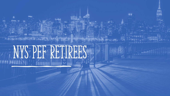# NYS PEF RETIRES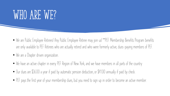# WHO ARE WE?

- We are Public Employee Retirees! Any Public Employee Retiree may join us! \*\*PEF Membership Benefits Program benefits are only available to PEF Retirees who are actually retired and who were formerly active, dues-paying members of PEF.
- We are a Chapter driven organization.
- We have an active chapter in every PEF Region of New York, and we have members in all parts of the country
- Our dues are \$36.00 a year if paid by automatic pension deduction, or \$41.00 annually if paid by check.
- PEF pays the first year of your membership dues, but you need to sign up in order to become an active member.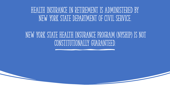### Health Insurance in retirement is administered by nEW York State Department of Civil Service.

### New York State Health Insurance Program (NYSHIP) is not constitutionally guaranteed.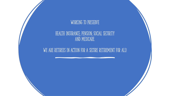

#### HEALTH INSURANCE; PENSION; SOCIAL SECURITY AND MEDICARE.

#### WE ARE RETIREES IN ACTION FOR A SECURE RETIREMENT FOR ALL!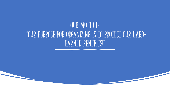## OUR MOTTO IS ''OUR PURPOSE FOR ORGANIZING IS TO PROTECT OUR HARD-EARNED BENEFITS!"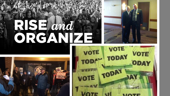# NSIand ORGANIZE





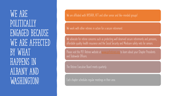WE ARE POLITICALLY engaged because WE ARE AFFECTED BY WHAT! happens in Albany and WASHINGTON!

**We are affiliated with NYSARA, AFT and other senior and like-minded groups!**

**We work with other retirees in action for a secure retirement.**

**We advocate for retiree concerns such as protecting well deserved secure retirements and pensions, affordable quality health insurance and the Social Security and Medicare safety nets for seniors.**

**Please visit the PEF Retiree website at [www.pefretirees.org](http://www.pefretirees.org/) to learn about your Chapter Presidents and Statewide Officers.**

**The Retiree Executive Board meets quarterly.**

**Each chapter schedules regular meetings in their area.**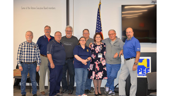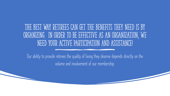### The best way retirees can get the benefits they need is by organizing. In order to be effective as an organization, we need your active participation and assistance!

**Our ability to provide retirees the quality of living they deserve depends directly on the volume and involvement of our membership.**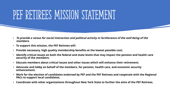## PEF RETIREES MISSION STATEMENT

- **To provide a venue for social interaction and political activity in furtherance of the well being of the members.**
- **To support this mission, the PEF Retirees will:**
- **Provide necessary, high quality membership benefits at the lowest possible cost;**
- **Identify critical issues on both the federal and state levels that may impact the pension and health care security of the members;**
- **Educate members about critical issues and other issues which will enhance their retirement;**
- **Advocate and lobby on behalf of the members, for pension, health care, and economic security enhancement;**
- **Work for the election of candidates endorsed by PEF and the PEF Retirees and cooperate with the Regional PACs to support local candidates;**
- **Coordinate with other organizations throughout New York State to further the aims of the PEF Retirees.**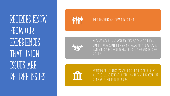RETIREES KNOW FROM OUR **EXPERIENCES** that union ISSUES ARE retiree issues



#### **UNION CONCERNS ARE COMMUNITY CONCERNS.**



**WHEN WE ORGANIZE AND WORK TOGETHER, WE ENABLE OUR LOCAL CHAPTERS TO MARSHALL THEIR STRENGTHS; AND THEY KNOW HOW TO MAINTAIN ECONOMIC SECURITY, HEALTH SECURITY AND MIDDLE -CLASS SECURITY.**



**PROTECTING THESE THINGS FOR WHICH OUR UNION FOUGHT REQUIRE ALL OF US PULLING TOGETHER; RETIREES UNDERSTAND THIS BECAUSE IT IS HOW WE HELPED BUILD THE UNION.**